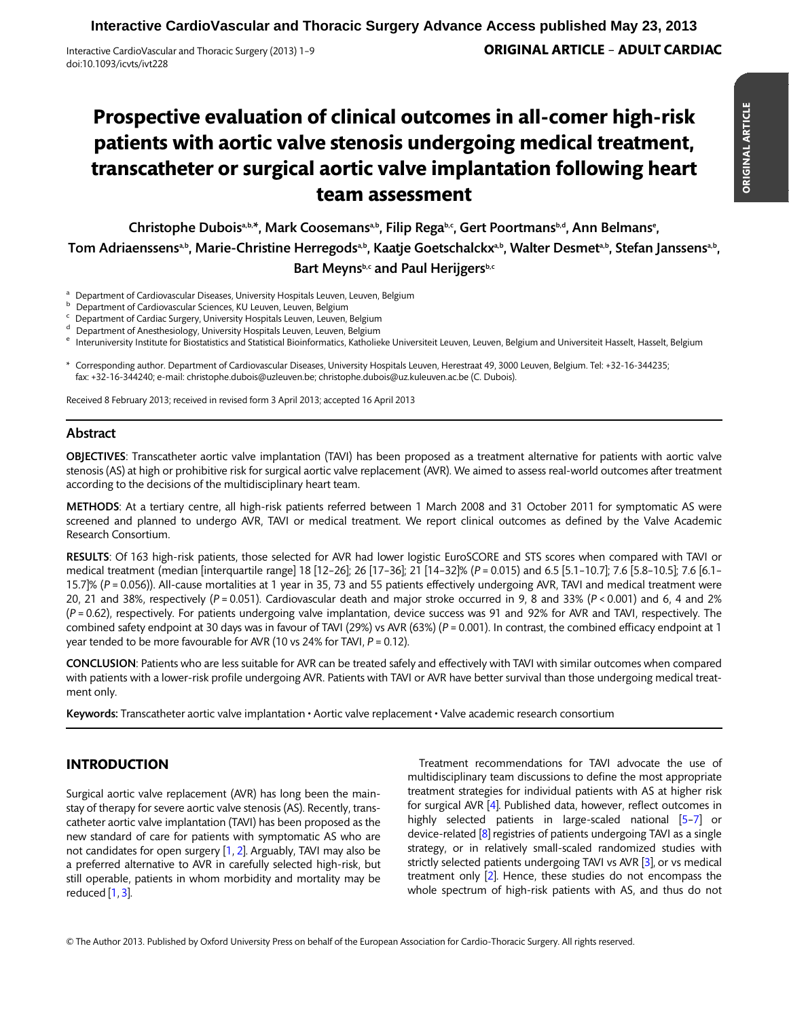doi:10.1093/icvts/ivt228

# Prospective evaluation of clinical outcomes in all-comer high-risk patients with aortic valve stenosis undergoing medical treatment, transcatheter or surgical aortic valve implantation following heart team assessment

Christophe Duboisª,b,\*, Mark Coosemansª,b, Filip Regaʰ.c, Gert Poortmansʰ.d, Ann Belmans°, Tom Adriaenssens<sup>a,b</sup>, Marie-Christine Herregods<sup>a,b</sup>, Kaatje Goetschalckx<sup>a,b</sup>, Walter Desmet<sup>a,b</sup>, Stefan Janssens<sup>a,b</sup>, Bart Meyns<sup>b,c</sup> and Paul Herijgers<sup>b,c</sup>

a Department of Cardiovascular Diseases, University Hospitals Leuven, Leuven, Belgium<br>
b Department of Cardiovascular Sciences, KU Leuven, Leuven, Belgium<br>
c Department of Cardiac Surgery, University Hospitals Leuven, Leuv

\* Corresponding author. Department of Cardiovascular Diseases, University Hospitals Leuven, Herestraat 49, 3000 Leuven, Belgium. Tel: +32-16-344235; fax: +32-16-344240; e-mail: christophe.dubois@uzleuven.be; christophe.dubois@uz.kuleuven.ac.be (C. Dubois).

Received 8 February 2013; received in revised form 3 April 2013; accepted 16 April 2013

## Abstract

OBJECTIVES: Transcatheter aortic valve implantation (TAVI) has been proposed as a treatment alternative for patients with aortic valve stenosis (AS) at high or prohibitive risk for surgical aortic valve replacement (AVR). We aimed to assess real-world outcomes after treatment according to the decisions of the multidisciplinary heart team.

METHODS: At a tertiary centre, all high-risk patients referred between 1 March 2008 and 31 October 2011 for symptomatic AS were screened and planned to undergo AVR, TAVI or medical treatment. We report clinical outcomes as defined by the Valve Academic Research Consortium.

RESULTS: Of 163 high-risk patients, those selected for AVR had lower logistic EuroSCORE and STS scores when compared with TAVI or medical treatment (median [interquartile range] 18 [12-26]; 26 [17-36]; 21 [14-32]% (P = 0.015) and 6.5 [5.1-10.7]; 7.6 [5.8-10.5]; 7.6 [6.1-15.7]% (P = 0.056)). All-cause mortalities at 1 year in 35, 73 and 55 patients effectively undergoing AVR, TAVI and medical treatment were 20, 21 and 38%, respectively ( $P = 0.051$ ). Cardiovascular death and major stroke occurred in 9, 8 and 33% ( $P < 0.001$ ) and 6, 4 and 2%  $(P = 0.62)$ , respectively. For patients undergoing valve implantation, device success was 91 and 92% for AVR and TAVI, respectively. The combined safety endpoint at 30 days was in favour of TAVI (29%) vs AVR (63%) (P = 0.001). In contrast, the combined efficacy endpoint at 1 year tended to be more favourable for AVR (10 vs 24% for TAVI, P = 0.12).

CONCLUSION: Patients who are less suitable for AVR can be treated safely and effectively with TAVI with similar outcomes when compared with patients with a lower-risk profile undergoing AVR. Patients with TAVI or AVR have better survival than those undergoing medical treatment only.

Keywords: Transcatheter aortic valve implantation • Aortic valve replacement • Valve academic research consortium

# INTRODUCTION

Surgical aortic valve replacement (AVR) has long been the mainstay of therapy for severe aortic valve stenosis (AS). Recently, transcatheter aortic valve implantation (TAVI) has been proposed as the new standard of care for patients with symptomatic AS who are not candidates for open surgery [[1](#page-7-0), [2\]](#page-7-0). Arguably, TAVI may also be a preferred alternative to AVR in carefully selected high-risk, but still operable, patients in whom morbidity and mortality may be reduced  $[1, 3]$  $[1, 3]$  $[1, 3]$ .

Treatment recommendations for TAVI advocate the use of multidisciplinary team discussions to define the most appropriate treatment strategies for individual patients with AS at higher risk for surgical AVR [\[4](#page-8-0)]. Published data, however, reflect outcomes in highly selected patients in large-scaled national [[5](#page-8-0)–[7\]](#page-8-0) or device-related [\[8\]](#page-8-0) registries of patients undergoing TAVI as a single strategy, or in relatively small-scaled randomized studies with strictly selected patients undergoing TAVI vs AVR [\[3](#page-7-0)], or vs medical treatment only [[2](#page-7-0)]. Hence, these studies do not encompass the whole spectrum of high-risk patients with AS, and thus do not

© The Author 2013. Published by Oxford University Press on behalf of the European Association for Cardio-Thoracic Surgery. All rights reserved.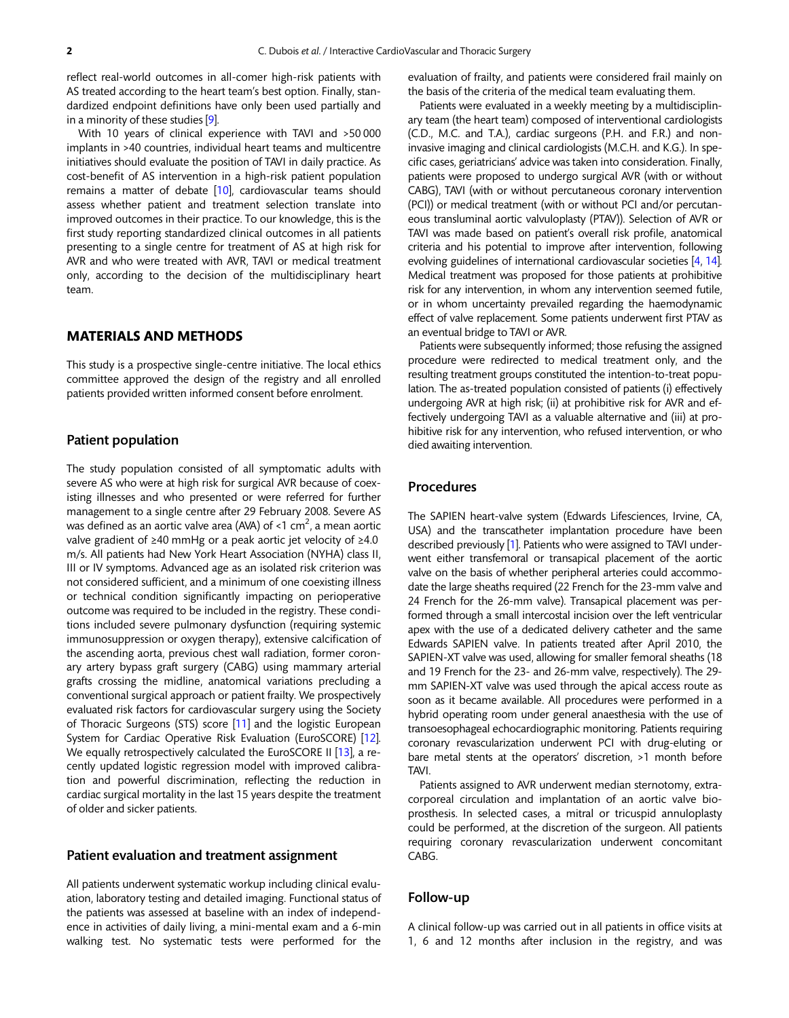reflect real-world outcomes in all-comer high-risk patients with AS treated according to the heart team's best option. Finally, standardized endpoint definitions have only been used partially and in a minority of these studies [[9](#page-8-0)].

With 10 years of clinical experience with TAVI and >50 000 implants in >40 countries, individual heart teams and multicentre initiatives should evaluate the position of TAVI in daily practice. As cost-benefit of AS intervention in a high-risk patient population remains a matter of debate [\[10\]](#page-8-0), cardiovascular teams should assess whether patient and treatment selection translate into improved outcomes in their practice. To our knowledge, this is the first study reporting standardized clinical outcomes in all patients presenting to a single centre for treatment of AS at high risk for AVR and who were treated with AVR, TAVI or medical treatment only, according to the decision of the multidisciplinary heart team.

# MATERIALS AND METHODS

This study is a prospective single-centre initiative. The local ethics committee approved the design of the registry and all enrolled patients provided written informed consent before enrolment.

#### Patient population

The study population consisted of all symptomatic adults with severe AS who were at high risk for surgical AVR because of coexisting illnesses and who presented or were referred for further management to a single centre after 29 February 2008. Severe AS was defined as an aortic valve area (AVA) of <1 cm<sup>2</sup>, a mean aortic valve gradient of ≥40 mmHg or a peak aortic jet velocity of ≥4.0 m/s. All patients had New York Heart Association (NYHA) class II, III or IV symptoms. Advanced age as an isolated risk criterion was not considered sufficient, and a minimum of one coexisting illness or technical condition significantly impacting on perioperative outcome was required to be included in the registry. These conditions included severe pulmonary dysfunction (requiring systemic immunosuppression or oxygen therapy), extensive calcification of the ascending aorta, previous chest wall radiation, former coronary artery bypass graft surgery (CABG) using mammary arterial grafts crossing the midline, anatomical variations precluding a conventional surgical approach or patient frailty. We prospectively evaluated risk factors for cardiovascular surgery using the Society of Thoracic Surgeons (STS) score [[11](#page-8-0)] and the logistic European System for Cardiac Operative Risk Evaluation (EuroSCORE) [[12\]](#page-8-0). We equally retrospectively calculated the EuroSCORE II [\[13\]](#page-8-0), a recently updated logistic regression model with improved calibration and powerful discrimination, reflecting the reduction in cardiac surgical mortality in the last 15 years despite the treatment of older and sicker patients.

## Patient evaluation and treatment assignment

All patients underwent systematic workup including clinical evaluation, laboratory testing and detailed imaging. Functional status of the patients was assessed at baseline with an index of independence in activities of daily living, a mini-mental exam and a 6-min walking test. No systematic tests were performed for the evaluation of frailty, and patients were considered frail mainly on the basis of the criteria of the medical team evaluating them.

Patients were evaluated in a weekly meeting by a multidisciplinary team (the heart team) composed of interventional cardiologists (C.D., M.C. and T.A.), cardiac surgeons (P.H. and F.R.) and noninvasive imaging and clinical cardiologists (M.C.H. and K.G.). In specific cases, geriatricians' advice was taken into consideration. Finally, patients were proposed to undergo surgical AVR (with or without CABG), TAVI (with or without percutaneous coronary intervention (PCI)) or medical treatment (with or without PCI and/or percutaneous transluminal aortic valvuloplasty (PTAV)). Selection of AVR or TAVI was made based on patient's overall risk profile, anatomical criteria and his potential to improve after intervention, following evolving guidelines of international cardiovascular societies [\[4,](#page-8-0) [14\]](#page-8-0). Medical treatment was proposed for those patients at prohibitive risk for any intervention, in whom any intervention seemed futile, or in whom uncertainty prevailed regarding the haemodynamic effect of valve replacement. Some patients underwent first PTAV as an eventual bridge to TAVI or AVR.

Patients were subsequently informed; those refusing the assigned procedure were redirected to medical treatment only, and the resulting treatment groups constituted the intention-to-treat population. The as-treated population consisted of patients (i) effectively undergoing AVR at high risk; (ii) at prohibitive risk for AVR and effectively undergoing TAVI as a valuable alternative and (iii) at prohibitive risk for any intervention, who refused intervention, or who died awaiting intervention.

## Procedures

The SAPIEN heart-valve system (Edwards Lifesciences, Irvine, CA, USA) and the transcatheter implantation procedure have been described previously [[1](#page-7-0)]. Patients who were assigned to TAVI underwent either transfemoral or transapical placement of the aortic valve on the basis of whether peripheral arteries could accommodate the large sheaths required (22 French for the 23-mm valve and 24 French for the 26-mm valve). Transapical placement was performed through a small intercostal incision over the left ventricular apex with the use of a dedicated delivery catheter and the same Edwards SAPIEN valve. In patients treated after April 2010, the SAPIEN-XT valve was used, allowing for smaller femoral sheaths (18 and 19 French for the 23- and 26-mm valve, respectively). The 29 mm SAPIEN-XT valve was used through the apical access route as soon as it became available. All procedures were performed in a hybrid operating room under general anaesthesia with the use of transoesophageal echocardiographic monitoring. Patients requiring coronary revascularization underwent PCI with drug-eluting or bare metal stents at the operators' discretion, >1 month before TAVI.

Patients assigned to AVR underwent median sternotomy, extracorporeal circulation and implantation of an aortic valve bioprosthesis. In selected cases, a mitral or tricuspid annuloplasty could be performed, at the discretion of the surgeon. All patients requiring coronary revascularization underwent concomitant CABG.

## Follow-up

A clinical follow-up was carried out in all patients in office visits at 1, 6 and 12 months after inclusion in the registry, and was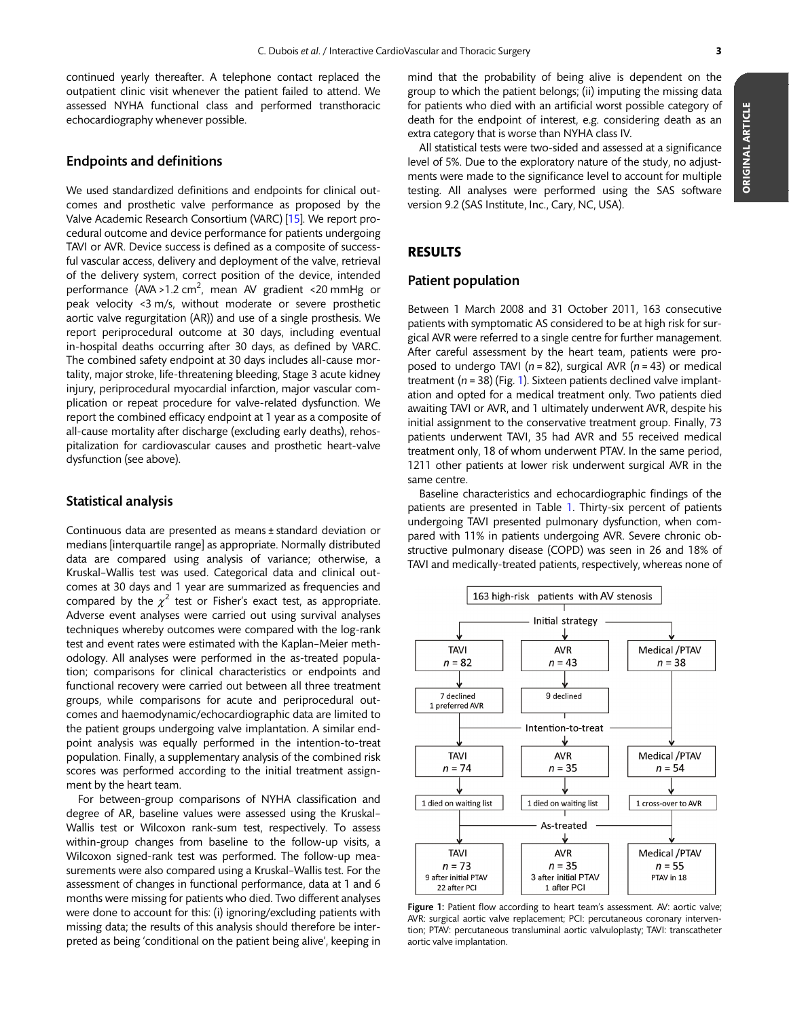continued yearly thereafter. A telephone contact replaced the outpatient clinic visit whenever the patient failed to attend. We assessed NYHA functional class and performed transthoracic echocardiography whenever possible.

## Endpoints and definitions

We used standardized definitions and endpoints for clinical outcomes and prosthetic valve performance as proposed by the Valve Academic Research Consortium (VARC) [[15\]](#page-8-0). We report procedural outcome and device performance for patients undergoing TAVI or AVR. Device success is defined as a composite of successful vascular access, delivery and deployment of the valve, retrieval of the delivery system, correct position of the device, intended performance  $($ AVA > 1.2 cm<sup>2</sup>, mean AV gradient <20 mmHg or peak velocity <3 m/s, without moderate or severe prosthetic aortic valve regurgitation (AR)) and use of a single prosthesis. We report periprocedural outcome at 30 days, including eventual in-hospital deaths occurring after 30 days, as defined by VARC. The combined safety endpoint at 30 days includes all-cause mortality, major stroke, life-threatening bleeding, Stage 3 acute kidney injury, periprocedural myocardial infarction, major vascular complication or repeat procedure for valve-related dysfunction. We report the combined efficacy endpoint at 1 year as a composite of all-cause mortality after discharge (excluding early deaths), rehospitalization for cardiovascular causes and prosthetic heart-valve dysfunction (see above).

#### Statistical analysis

Continuous data are presented as means ± standard deviation or medians [interquartile range] as appropriate. Normally distributed data are compared using analysis of variance; otherwise, a Kruskal–Wallis test was used. Categorical data and clinical outcomes at 30 days and 1 year are summarized as frequencies and compared by the  $\chi^2$  test or Fisher's exact test, as appropriate. Adverse event analyses were carried out using survival analyses techniques whereby outcomes were compared with the log-rank test and event rates were estimated with the Kaplan–Meier methodology. All analyses were performed in the as-treated population; comparisons for clinical characteristics or endpoints and functional recovery were carried out between all three treatment groups, while comparisons for acute and periprocedural outcomes and haemodynamic/echocardiographic data are limited to the patient groups undergoing valve implantation. A similar endpoint analysis was equally performed in the intention-to-treat population. Finally, a supplementary analysis of the combined risk scores was performed according to the initial treatment assignment by the heart team.

For between-group comparisons of NYHA classification and degree of AR, baseline values were assessed using the Kruskal– Wallis test or Wilcoxon rank-sum test, respectively. To assess within-group changes from baseline to the follow-up visits, a Wilcoxon signed-rank test was performed. The follow-up measurements were also compared using a Kruskal–Wallis test. For the assessment of changes in functional performance, data at 1 and 6 months were missing for patients who died. Two different analyses were done to account for this: (i) ignoring/excluding patients with missing data; the results of this analysis should therefore be interpreted as being 'conditional on the patient being alive', keeping in mind that the probability of being alive is dependent on the group to which the patient belongs; (ii) imputing the missing data for patients who died with an artificial worst possible category of death for the endpoint of interest, e.g. considering death as an extra category that is worse than NYHA class IV.

All statistical tests were two-sided and assessed at a significance level of 5%. Due to the exploratory nature of the study, no adjustments were made to the significance level to account for multiple testing. All analyses were performed using the SAS software version 9.2 (SAS Institute, Inc., Cary, NC, USA).

## RESULTS

## Patient population

Between 1 March 2008 and 31 October 2011, 163 consecutive patients with symptomatic AS considered to be at high risk for surgical AVR were referred to a single centre for further management. After careful assessment by the heart team, patients were proposed to undergo TAVI ( $n = 82$ ), surgical AVR ( $n = 43$ ) or medical treatment ( $n = 38$ ) (Fig. 1). Sixteen patients declined valve implantation and opted for a medical treatment only. Two patients died awaiting TAVI or AVR, and 1 ultimately underwent AVR, despite his initial assignment to the conservative treatment group. Finally, 73 patients underwent TAVI, 35 had AVR and 55 received medical treatment only, 18 of whom underwent PTAV. In the same period, 1211 other patients at lower risk underwent surgical AVR in the same centre.

Baseline characteristics and echocardiographic findings of the patients are presented in Table [1.](#page-3-0) Thirty-six percent of patients undergoing TAVI presented pulmonary dysfunction, when compared with 11% in patients undergoing AVR. Severe chronic obstructive pulmonary disease (COPD) was seen in 26 and 18% of TAVI and medically-treated patients, respectively, whereas none of



Figure 1: Patient flow according to heart team's assessment. AV: aortic valve; AVR: surgical aortic valve replacement; PCI: percutaneous coronary intervention; PTAV: percutaneous transluminal aortic valvuloplasty; TAVI: transcatheter aortic valve implantation.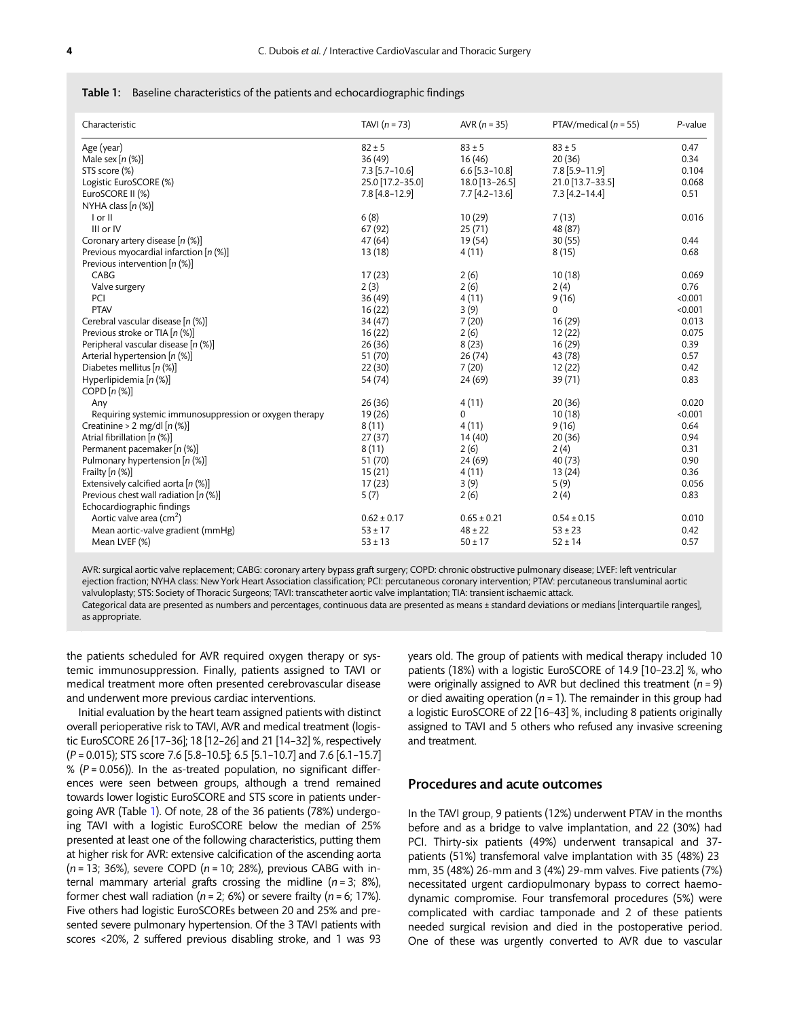<span id="page-3-0"></span>

| <b>Table 1:</b> Baseline characteristics of the patients and echocardiographic findings |  |  |  |  |
|-----------------------------------------------------------------------------------------|--|--|--|--|
|-----------------------------------------------------------------------------------------|--|--|--|--|

| Characteristic                                         | TAVI $(n = 73)$  | AVR $(n = 35)$   | PTAV/medical ( $n = 55$ ) | P-value |
|--------------------------------------------------------|------------------|------------------|---------------------------|---------|
| Age (year)                                             | $82 \pm 5$       | $83 \pm 5$       | $83 \pm 5$                | 0.47    |
| Male sex $[n (\%)]$                                    | 36 (49)          | 16(46)           | 20(36)                    | 0.34    |
| STS score (%)                                          | $7.3$ [5.7-10.6] | $6.6$ [5.3-10.8] | 7.8 [5.9-11.9]            | 0.104   |
| Logistic EuroSCORE (%)                                 | 25.0 [17.2-35.0] | 18.0 [13-26.5]   | 21.0 [13.7-33.5]          | 0.068   |
| EuroSCORE II (%)                                       | $7.8$ [4.8-12.9] | $7.7$ [4.2-13.6] | $7.3$ [4.2-14.4]          | 0.51    |
| NYHA class $[n \ (\%)]$                                |                  |                  |                           |         |
| I or II                                                | 6(8)             | 10(29)           | 7(13)                     | 0.016   |
| III or IV                                              | 67(92)           | 25(71)           | 48 (87)                   |         |
| Coronary artery disease [n (%)]                        | 47 (64)          | 19 (54)          | 30(55)                    | 0.44    |
| Previous myocardial infarction $[n \, (\%)]$           | 13(18)           | 4(11)            | 8(15)                     | 0.68    |
| Previous intervention [n (%)]                          |                  |                  |                           |         |
| CABG                                                   | 17(23)           | 2(6)             | 10(18)                    | 0.069   |
| Valve surgery                                          | 2(3)             | 2(6)             | 2(4)                      | 0.76    |
| PCI                                                    | 36(49)           | 4(11)            | 9(16)                     | < 0.001 |
| <b>PTAV</b>                                            | 16(22)           | 3(9)             | 0                         | < 0.001 |
| Cerebral vascular disease [n (%)]                      | 34(47)           | 7(20)            | 16(29)                    | 0.013   |
| Previous stroke or TIA [n (%)]                         | 16(22)           | 2(6)             | 12(22)                    | 0.075   |
| Peripheral vascular disease [n (%)]                    | 26(36)           | 8(23)            | 16(29)                    | 0.39    |
| Arterial hypertension [n (%)]                          | 51 (70)          | 26(74)           | 43 (78)                   | 0.57    |
| Diabetes mellitus [n (%)]                              | 22 (30)          | 7(20)            | 12(22)                    | 0.42    |
| Hyperlipidemia [n (%)]                                 | 54 (74)          | 24 (69)          | 39 (71)                   | 0.83    |
| COPD $[n \, (\%)]$                                     |                  |                  |                           |         |
| Any                                                    | 26(36)           | 4(11)            | 20(36)                    | 0.020   |
| Requiring systemic immunosuppression or oxygen therapy | 19 (26)          | 0                | 10(18)                    | < 0.001 |
| Creatinine > 2 mg/dl $[n \ (\%)]$                      | 8(11)            | 4(11)            | 9(16)                     | 0.64    |
| Atrial fibrillation $[n \, (\%)]$                      | 27(37)           | 14 (40)          | 20(36)                    | 0.94    |
| Permanent pacemaker [n (%)]                            | 8(11)            | 2(6)             | 2(4)                      | 0.31    |
| Pulmonary hypertension $[n(\%)]$                       | 51 (70)          | 24 (69)          | 40 (73)                   | 0.90    |
| Frailty $[n \ (\%)]$                                   | 15(21)           | 4(11)            | 13(24)                    | 0.36    |
| Extensively calcified aorta [n (%)]                    | 17(23)           | 3(9)             | 5(9)                      | 0.056   |
| Previous chest wall radiation $[n \, (\%)]$            | 5(7)             | 2(6)             | 2(4)                      | 0.83    |
| Echocardiographic findings                             |                  |                  |                           |         |
| Aortic valve area (cm <sup>2</sup> )                   | $0.62 \pm 0.17$  | $0.65 \pm 0.21$  | $0.54 \pm 0.15$           | 0.010   |
| Mean aortic-valve gradient (mmHg)                      | $53 \pm 17$      | $48 \pm 22$      | $53 \pm 23$               | 0.42    |
| Mean LVEF (%)                                          | $53 \pm 13$      | $50 \pm 17$      | $52 \pm 14$               | 0.57    |
|                                                        |                  |                  |                           |         |

AVR: surgical aortic valve replacement; CABG: coronary artery bypass graft surgery; COPD: chronic obstructive pulmonary disease; LVEF: left ventricular ejection fraction; NYHA class: New York Heart Association classification; PCI: percutaneous coronary intervention; PTAV: percutaneous transluminal aortic valvuloplasty; STS: Society of Thoracic Surgeons; TAVI: transcatheter aortic valve implantation; TIA: transient ischaemic attack. Categorical data are presented as numbers and percentages, continuous data are presented as means ± standard deviations or medians [interquartile ranges], as appropriate.

the patients scheduled for AVR required oxygen therapy or systemic immunosuppression. Finally, patients assigned to TAVI or medical treatment more often presented cerebrovascular disease and underwent more previous cardiac interventions.

Initial evaluation by the heart team assigned patients with distinct overall perioperative risk to TAVI, AVR and medical treatment (logistic EuroSCORE 26 [17–36]; 18 [12–26] and 21 [14–32] %, respectively  $(P = 0.015)$ ; STS score 7.6 [5.8–10.5]; 6.5 [5.1–10.7] and 7.6 [6.1–15.7] % ( $P = 0.056$ )). In the as-treated population, no significant differences were seen between groups, although a trend remained towards lower logistic EuroSCORE and STS score in patients undergoing AVR (Table 1). Of note, 28 of the 36 patients (78%) undergoing TAVI with a logistic EuroSCORE below the median of 25% presented at least one of the following characteristics, putting them at higher risk for AVR: extensive calcification of the ascending aorta  $(n = 13; 36%)$ , severe COPD  $(n = 10; 28%)$ , previous CABG with internal mammary arterial grafts crossing the midline  $(n = 3; 8\%)$ , former chest wall radiation ( $n = 2$ ; 6%) or severe frailty ( $n = 6$ ; 17%). Five others had logistic EuroSCOREs between 20 and 25% and presented severe pulmonary hypertension. Of the 3 TAVI patients with scores <20%, 2 suffered previous disabling stroke, and 1 was 93

years old. The group of patients with medical therapy included 10 patients (18%) with a logistic EuroSCORE of 14.9 [10–23.2] %, who were originally assigned to AVR but declined this treatment  $(n = 9)$ or died awaiting operation ( $n = 1$ ). The remainder in this group had a logistic EuroSCORE of 22 [16–43] %, including 8 patients originally assigned to TAVI and 5 others who refused any invasive screening and treatment.

## Procedures and acute outcomes

In the TAVI group, 9 patients (12%) underwent PTAV in the months before and as a bridge to valve implantation, and 22 (30%) had PCI. Thirty-six patients (49%) underwent transapical and 37 patients (51%) transfemoral valve implantation with 35 (48%) 23 mm, 35 (48%) 26-mm and 3 (4%) 29-mm valves. Five patients (7%) necessitated urgent cardiopulmonary bypass to correct haemodynamic compromise. Four transfemoral procedures (5%) were complicated with cardiac tamponade and 2 of these patients needed surgical revision and died in the postoperative period. One of these was urgently converted to AVR due to vascular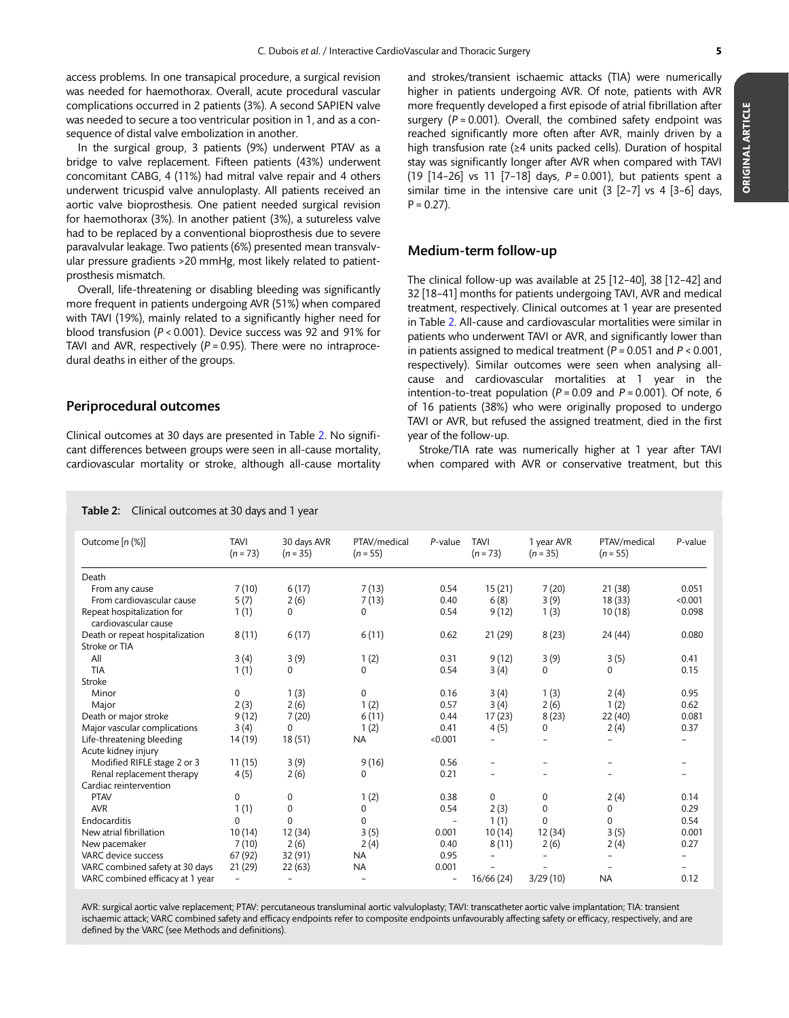access problems. In one transapical procedure, a surgical revision was needed for haemothorax. Overall, acute procedural vascular complications occurred in 2 patients (3%). A second SAPIEN valve was needed to secure a too ventricular position in 1, and as a consequence of distal valve embolization in another.

In the surgical group, 3 patients (9%) underwent PTAV as a bridge to valve replacement. Fifteen patients (43%) underwent concomitant CABG, 4 (11%) had mitral valve repair and 4 others underwent tricuspid valve annuloplasty. All patients received an aortic valve bioprosthesis. One patient needed surgical revision for haemothorax (3%). In another patient (3%), a sutureless valve had to be replaced by a conventional bioprosthesis due to severe paravalvular leakage. Two patients (6%) presented mean transvalvular pressure gradients >20 mmHg, most likely related to patientprosthesis mismatch.

Overall, life-threatening or disabling bleeding was significantly more frequent in patients undergoing AVR (51%) when compared with TAVI (19%), mainly related to a significantly higher need for blood transfusion (P < 0.001). Device success was 92 and 91% for TAVI and AVR, respectively ( $P = 0.95$ ). There were no intraprocedural deaths in either of the groups.

#### Periprocedural outcomes

Clinical outcomes at 30 days are presented in Table 2. No significant differences between groups were seen in all-cause mortality, cardiovascular mortality or stroke, although all-cause mortality

Table 2: Clinical outcomes at 30 days and 1 year

and strokes/transient ischaemic attacks (TIA) were numerically higher in patients undergoing AVR. Of note, patients with AVR more frequently developed a first episode of atrial fibrillation after surgery ( $P = 0.001$ ). Overall, the combined safety endpoint was reached significantly more often after AVR, mainly driven by a high transfusion rate (≥4 units packed cells). Duration of hospital stay was significantly longer after AVR when compared with TAVI (19  $[14-26]$  vs 11  $[7-18]$  days,  $P = 0.001$ ), but patients spent a similar time in the intensive care unit (3 [2–7] vs 4 [3–6] days,  $P = 0.27$ ).

## Medium-term follow-up

The clinical follow-up was available at 25 [12–40], 38 [12–42] and 32 [18–41] months for patients undergoing TAVI, AVR and medical treatment, respectively. Clinical outcomes at 1 year are presented in Table 2. All-cause and cardiovascular mortalities were similar in patients who underwent TAVI or AVR, and significantly lower than in patients assigned to medical treatment ( $P = 0.051$  and  $P < 0.001$ , respectively). Similar outcomes were seen when analysing allcause and cardiovascular mortalities at 1 year in the intention-to-treat population ( $P = 0.09$  and  $P = 0.001$ ). Of note, 6 of 16 patients (38%) who were originally proposed to undergo TAVI or AVR, but refused the assigned treatment, died in the first year of the follow-up.

Stroke/TIA rate was numerically higher at 1 year after TAVI when compared with AVR or conservative treatment, but this

| Outcome [n (%)]                                    | <b>TAVI</b><br>$(n = 73)$ | 30 days AVR<br>$(n = 35)$ | PTAV/medical<br>$(n = 55)$ | P-value                  | <b>TAVI</b><br>$(n = 73)$ | 1 year AVR<br>$(n = 35)$ | PTAV/medical<br>$(n = 55)$ | P-value |
|----------------------------------------------------|---------------------------|---------------------------|----------------------------|--------------------------|---------------------------|--------------------------|----------------------------|---------|
| Death                                              |                           |                           |                            |                          |                           |                          |                            |         |
| From any cause                                     | 7(10)                     | 6(17)                     | 7(13)                      | 0.54                     | 15(21)                    | 7(20)                    | 21(38)                     | 0.051   |
| From cardiovascular cause                          | 5(7)                      | 2(6)                      | 7(13)                      | 0.40                     | 6(8)                      | 3(9)                     | 18(33)                     | < 0.001 |
| Repeat hospitalization for<br>cardiovascular cause | 1(1)                      | 0                         | 0                          | 0.54                     | 9(12)                     | 1(3)                     | 10(18)                     | 0.098   |
| Death or repeat hospitalization                    | 8(11)                     | 6(17)                     | 6(11)                      | 0.62                     | 21 (29)                   | 8(23)                    | 24 (44)                    | 0.080   |
| Stroke or TIA                                      |                           |                           |                            |                          |                           |                          |                            |         |
| All                                                | 3(4)                      | 3(9)                      | 1(2)                       | 0.31                     | 9(12)                     | 3(9)                     | 3(5)                       | 0.41    |
| <b>TIA</b>                                         | 1(1)                      | 0                         | 0                          | 0.54                     | 3(4)                      | 0                        | 0                          | 0.15    |
| Stroke                                             |                           |                           |                            |                          |                           |                          |                            |         |
| Minor                                              | $\Omega$                  | 1(3)                      | $\Omega$                   | 0.16                     | 3(4)                      | 1(3)                     | 2(4)                       | 0.95    |
| Major                                              | 2(3)                      | 2(6)                      | 1(2)                       | 0.57                     | 3(4)                      | 2(6)                     | 1(2)                       | 0.62    |
| Death or major stroke                              | 9(12)                     | 7(20)                     | 6(11)                      | 0.44                     | 17(23)                    | 8(23)                    | 22 (40)                    | 0.081   |
| Major vascular complications                       | 3(4)                      | $\Omega$                  | 1(2)                       | 0.41                     | 4(5)                      | 0                        | 2(4)                       | 0.37    |
| Life-threatening bleeding                          | 14 (19)                   | 18(51)                    | <b>NA</b>                  | < 0.001                  |                           |                          |                            |         |
| Acute kidney injury                                |                           |                           |                            |                          |                           |                          |                            |         |
| Modified RIFLE stage 2 or 3                        | 11(15)                    | 3(9)                      | 9(16)                      | 0.56                     |                           |                          |                            |         |
| Renal replacement therapy                          | 4(5)                      | 2(6)                      | 0                          | 0.21                     |                           |                          |                            |         |
| Cardiac reintervention                             |                           |                           |                            |                          |                           |                          |                            |         |
| <b>PTAV</b>                                        | $\mathbf 0$               | 0                         | 1(2)                       | 0.38                     | $\Omega$                  | 0                        | 2(4)                       | 0.14    |
| <b>AVR</b>                                         | 1(1)                      | $\mathbf 0$               | $\Omega$                   | 0.54                     | 2(3)                      | $\Omega$                 | $\Omega$                   | 0.29    |
| Endocarditis                                       | $\Omega$                  | $\Omega$                  | 0                          |                          | 1(1)                      | $\Omega$                 | $\Omega$                   | 0.54    |
| New atrial fibrillation                            | 10(14)                    | 12 (34)                   | 3(5)                       | 0.001                    | 10(14)                    | 12 (34)                  | 3(5)                       | 0.001   |
| New pacemaker                                      | 7(10)                     | 2(6)                      | 2(4)                       | 0.40                     | 8(11)                     | 2(6)                     | 2(4)                       | 0.27    |
| VARC device success                                | 67 (92)                   | 32 (91)                   | <b>NA</b>                  | 0.95                     |                           |                          |                            |         |
| VARC combined safety at 30 days                    | 21 (29)                   | 22(63)                    | <b>NA</b>                  | 0.001                    |                           |                          |                            |         |
| VARC combined efficacy at 1 year                   | $\qquad \qquad -$         | $\overline{\phantom{0}}$  |                            | $\overline{\phantom{a}}$ | 16/66 (24)                | 3/29(10)                 | <b>NA</b>                  | 0.12    |

AVR: surgical aortic valve replacement; PTAV: percutaneous transluminal aortic valvuloplasty; TAVI: transcatheter aortic valve implantation; TIA: transient ischaemic attack; VARC combined safety and efficacy endpoints refer to composite endpoints unfavourably affecting safety or efficacy, respectively, and are defined by the VARC (see Methods and definitions).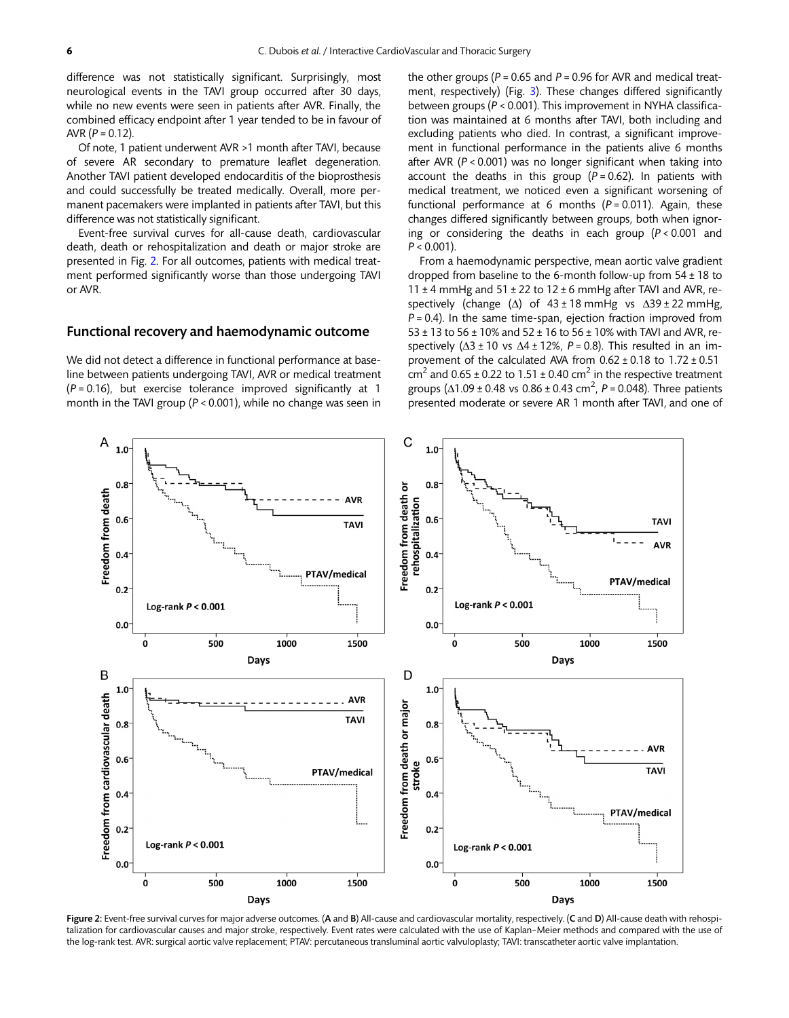<span id="page-5-0"></span>difference was not statistically significant. Surprisingly, most neurological events in the TAVI group occurred after 30 days, while no new events were seen in patients after AVR. Finally, the combined efficacy endpoint after 1 year tended to be in favour of AVR  $(P = 0.12)$ .

Of note, 1 patient underwent AVR >1 month after TAVI, because of severe AR secondary to premature leaflet degeneration. Another TAVI patient developed endocarditis of the bioprosthesis and could successfully be treated medically. Overall, more permanent pacemakers were implanted in patients after TAVI, but this difference was not statistically significant.

Event-free survival curves for all-cause death, cardiovascular death, death or rehospitalization and death or major stroke are presented in Fig. 2. For all outcomes, patients with medical treatment performed significantly worse than those undergoing TAVI or AVR.

#### Functional recovery and haemodynamic outcome

We did not detect a difference in functional performance at baseline between patients undergoing TAVI, AVR or medical treatment  $(P = 0.16)$ , but exercise tolerance improved significantly at 1 month in the TAVI group ( $P < 0.001$ ), while no change was seen in

the other groups ( $P = 0.65$  and  $P = 0.96$  for AVR and medical treatment, respectively) (Fig. [3](#page-6-0)). These changes differed significantly between groups (P < 0.001). This improvement in NYHA classification was maintained at 6 months after TAVI, both including and excluding patients who died. In contrast, a significant improvement in functional performance in the patients alive 6 months after AVR ( $P < 0.001$ ) was no longer significant when taking into account the deaths in this group  $(P = 0.62)$ . In patients with medical treatment, we noticed even a significant worsening of functional performance at 6 months ( $P = 0.011$ ). Again, these changes differed significantly between groups, both when ignoring or considering the deaths in each group  $(P < 0.001$  and  $P < 0.001$ ).

From a haemodynamic perspective, mean aortic valve gradient dropped from baseline to the 6-month follow-up from  $54 \pm 18$  to 11  $\pm$  4 mmHg and 51  $\pm$  22 to 12  $\pm$  6 mmHg after TAVI and AVR, respectively (change  $(\Delta)$  of  $43 \pm 18$  mmHg vs  $\Delta 39 \pm 22$  mmHg,  $P = 0.4$ ). In the same time-span, ejection fraction improved from 53  $\pm$  13 to 56  $\pm$  10% and 52  $\pm$  16 to 56  $\pm$  10% with TAVI and AVR, respectively  $(\Delta 3 \pm 10 \text{ vs } \Delta 4 \pm 12\%$ , P = 0.8). This resulted in an improvement of the calculated AVA from 0.62 ± 0.18 to 1.72 ± 0.51 cm<sup>2</sup> and  $0.65 \pm 0.22$  to  $1.51 \pm 0.40$  cm<sup>2</sup> in the respective treatment groups  $(\Delta 1.09 \pm 0.48 \text{ vs } 0.86 \pm 0.43 \text{ cm}^2, P = 0.048)$ . Three patients presented moderate or severe AR 1 month after TAVI, and one of



Figure 2: Event-free survival curves for major adverse outcomes. (A and B) All-cause and cardiovascular mortality, respectively. (C and D) All-cause death with rehospitalization for cardiovascular causes and major stroke, respectively. Event rates were calculated with the use of Kaplan–Meier methods and compared with the use of the log-rank test. AVR: surgical aortic valve replacement; PTAV: percutaneous transluminal aortic valvuloplasty; TAVI: transcatheter aortic valve implantation.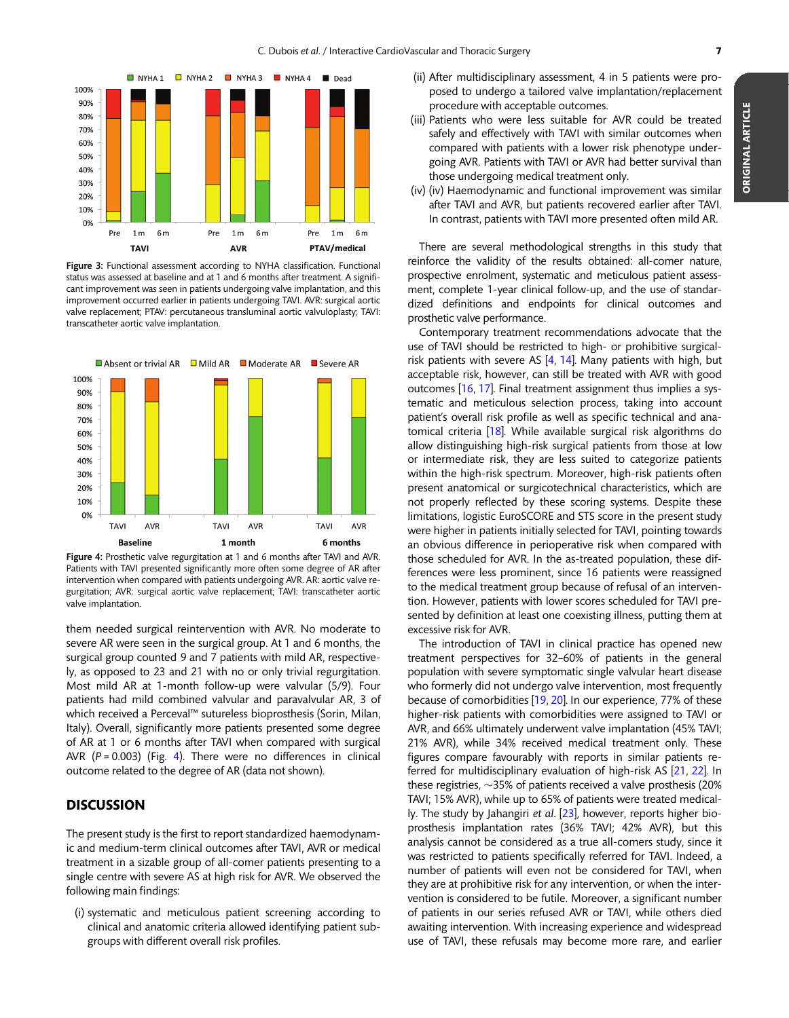<span id="page-6-0"></span>

Figure 3: Functional assessment according to NYHA classification. Functional status was assessed at baseline and at 1 and 6 months after treatment. A significant improvement was seen in patients undergoing valve implantation, and this improvement occurred earlier in patients undergoing TAVI. AVR: surgical aortic valve replacement; PTAV: percutaneous transluminal aortic valvuloplasty; TAVI: transcatheter aortic valve implantation.



Figure 4: Prosthetic valve regurgitation at 1 and 6 months after TAVI and AVR. Patients with TAVI presented significantly more often some degree of AR after intervention when compared with patients undergoing AVR. AR: aortic valve regurgitation; AVR: surgical aortic valve replacement; TAVI: transcatheter aortic valve implantation.

them needed surgical reintervention with AVR. No moderate to severe AR were seen in the surgical group. At 1 and 6 months, the surgical group counted 9 and 7 patients with mild AR, respectively, as opposed to 23 and 21 with no or only trivial regurgitation. Most mild AR at 1-month follow-up were valvular (5/9). Four patients had mild combined valvular and paravalvular AR, 3 of which received a Perceval™ sutureless bioprosthesis (Sorin, Milan, Italy). Overall, significantly more patients presented some degree of AR at 1 or 6 months after TAVI when compared with surgical AVR ( $P = 0.003$ ) (Fig. 4). There were no differences in clinical outcome related to the degree of AR (data not shown).

## **DISCUSSION**

The present study is the first to report standardized haemodynamic and medium-term clinical outcomes after TAVI, AVR or medical treatment in a sizable group of all-comer patients presenting to a single centre with severe AS at high risk for AVR. We observed the following main findings:

(i) systematic and meticulous patient screening according to clinical and anatomic criteria allowed identifying patient subgroups with different overall risk profiles.

- (ii) After multidisciplinary assessment, 4 in 5 patients were proposed to undergo a tailored valve implantation/replacement procedure with acceptable outcomes.
- (iii) Patients who were less suitable for AVR could be treated safely and effectively with TAVI with similar outcomes when compared with patients with a lower risk phenotype undergoing AVR. Patients with TAVI or AVR had better survival than those undergoing medical treatment only.
- (iv) (iv) Haemodynamic and functional improvement was similar after TAVI and AVR, but patients recovered earlier after TAVI. In contrast, patients with TAVI more presented often mild AR.

There are several methodological strengths in this study that reinforce the validity of the results obtained: all-comer nature, prospective enrolment, systematic and meticulous patient assessment, complete 1-year clinical follow-up, and the use of standardized definitions and endpoints for clinical outcomes and prosthetic valve performance.

Contemporary treatment recommendations advocate that the use of TAVI should be restricted to high- or prohibitive surgicalrisk patients with severe AS [[4](#page-8-0), [14\]](#page-8-0). Many patients with high, but acceptable risk, however, can still be treated with AVR with good outcomes [\[16](#page-8-0), [17\]](#page-8-0). Final treatment assignment thus implies a systematic and meticulous selection process, taking into account patient's overall risk profile as well as specific technical and anatomical criteria [[18](#page-8-0)]. While available surgical risk algorithms do allow distinguishing high-risk surgical patients from those at low or intermediate risk, they are less suited to categorize patients within the high-risk spectrum. Moreover, high-risk patients often present anatomical or surgicotechnical characteristics, which are not properly reflected by these scoring systems. Despite these limitations, logistic EuroSCORE and STS score in the present study were higher in patients initially selected for TAVI, pointing towards an obvious difference in perioperative risk when compared with those scheduled for AVR. In the as-treated population, these differences were less prominent, since 16 patients were reassigned to the medical treatment group because of refusal of an intervention. However, patients with lower scores scheduled for TAVI presented by definition at least one coexisting illness, putting them at excessive risk for AVR.

The introduction of TAVI in clinical practice has opened new treatment perspectives for 32–60% of patients in the general population with severe symptomatic single valvular heart disease who formerly did not undergo valve intervention, most frequently because of comorbidities [[19](#page-8-0), [20](#page-8-0)]. In our experience, 77% of these higher-risk patients with comorbidities were assigned to TAVI or AVR, and 66% ultimately underwent valve implantation (45% TAVI; 21% AVR), while 34% received medical treatment only. These figures compare favourably with reports in similar patients referred for multidisciplinary evaluation of high-risk AS [\[21,](#page-8-0) [22](#page-8-0)]. In these registries,  $\sim$ 35% of patients received a valve prosthesis (20%) TAVI; 15% AVR), while up to 65% of patients were treated medically. The study by Jahangiri et al.  $[23]$  $[23]$ , however, reports higher bioprosthesis implantation rates (36% TAVI; 42% AVR), but this analysis cannot be considered as a true all-comers study, since it was restricted to patients specifically referred for TAVI. Indeed, a number of patients will even not be considered for TAVI, when they are at prohibitive risk for any intervention, or when the intervention is considered to be futile. Moreover, a significant number of patients in our series refused AVR or TAVI, while others died awaiting intervention. With increasing experience and widespread use of TAVI, these refusals may become more rare, and earlier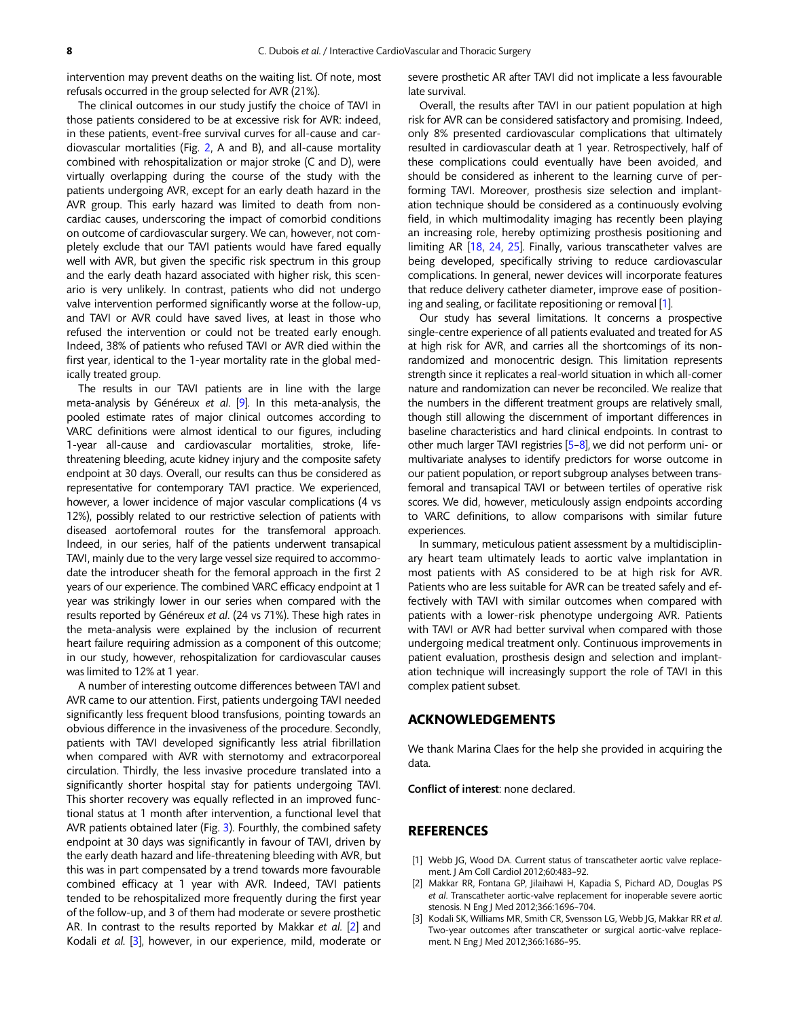<span id="page-7-0"></span>intervention may prevent deaths on the waiting list. Of note, most refusals occurred in the group selected for AVR (21%).

The clinical outcomes in our study justify the choice of TAVI in those patients considered to be at excessive risk for AVR: indeed, in these patients, event-free survival curves for all-cause and cardiovascular mortalities (Fig. [2](#page-5-0), A and B), and all-cause mortality combined with rehospitalization or major stroke (C and D), were virtually overlapping during the course of the study with the patients undergoing AVR, except for an early death hazard in the AVR group. This early hazard was limited to death from noncardiac causes, underscoring the impact of comorbid conditions on outcome of cardiovascular surgery. We can, however, not completely exclude that our TAVI patients would have fared equally well with AVR, but given the specific risk spectrum in this group and the early death hazard associated with higher risk, this scenario is very unlikely. In contrast, patients who did not undergo valve intervention performed significantly worse at the follow-up, and TAVI or AVR could have saved lives, at least in those who refused the intervention or could not be treated early enough. Indeed, 38% of patients who refused TAVI or AVR died within the first year, identical to the 1-year mortality rate in the global medically treated group.

The results in our TAVI patients are in line with the large meta-analysis by Généreux et al. [[9](#page-8-0)]. In this meta-analysis, the pooled estimate rates of major clinical outcomes according to VARC definitions were almost identical to our figures, including 1-year all-cause and cardiovascular mortalities, stroke, lifethreatening bleeding, acute kidney injury and the composite safety endpoint at 30 days. Overall, our results can thus be considered as representative for contemporary TAVI practice. We experienced, however, a lower incidence of major vascular complications (4 vs 12%), possibly related to our restrictive selection of patients with diseased aortofemoral routes for the transfemoral approach. Indeed, in our series, half of the patients underwent transapical TAVI, mainly due to the very large vessel size required to accommodate the introducer sheath for the femoral approach in the first 2 years of our experience. The combined VARC efficacy endpoint at 1 year was strikingly lower in our series when compared with the results reported by Généreux et al. (24 vs 71%). These high rates in the meta-analysis were explained by the inclusion of recurrent heart failure requiring admission as a component of this outcome; in our study, however, rehospitalization for cardiovascular causes was limited to 12% at 1 year.

A number of interesting outcome differences between TAVI and AVR came to our attention. First, patients undergoing TAVI needed significantly less frequent blood transfusions, pointing towards an obvious difference in the invasiveness of the procedure. Secondly, patients with TAVI developed significantly less atrial fibrillation when compared with AVR with sternotomy and extracorporeal circulation. Thirdly, the less invasive procedure translated into a significantly shorter hospital stay for patients undergoing TAVI. This shorter recovery was equally reflected in an improved functional status at 1 month after intervention, a functional level that AVR patients obtained later (Fig. [3\)](#page-6-0). Fourthly, the combined safety endpoint at 30 days was significantly in favour of TAVI, driven by the early death hazard and life-threatening bleeding with AVR, but this was in part compensated by a trend towards more favourable combined efficacy at 1 year with AVR. Indeed, TAVI patients tended to be rehospitalized more frequently during the first year of the follow-up, and 3 of them had moderate or severe prosthetic AR. In contrast to the results reported by Makkar et al. [2] and Kodali et al. [3], however, in our experience, mild, moderate or

severe prosthetic AR after TAVI did not implicate a less favourable late survival.

Overall, the results after TAVI in our patient population at high risk for AVR can be considered satisfactory and promising. Indeed, only 8% presented cardiovascular complications that ultimately resulted in cardiovascular death at 1 year. Retrospectively, half of these complications could eventually have been avoided, and should be considered as inherent to the learning curve of performing TAVI. Moreover, prosthesis size selection and implantation technique should be considered as a continuously evolving field, in which multimodality imaging has recently been playing an increasing role, hereby optimizing prosthesis positioning and limiting AR [\[18](#page-8-0), [24,](#page-8-0) [25](#page-8-0)]. Finally, various transcatheter valves are being developed, specifically striving to reduce cardiovascular complications. In general, newer devices will incorporate features that reduce delivery catheter diameter, improve ease of positioning and sealing, or facilitate repositioning or removal [1].

Our study has several limitations. It concerns a prospective single-centre experience of all patients evaluated and treated for AS at high risk for AVR, and carries all the shortcomings of its nonrandomized and monocentric design. This limitation represents strength since it replicates a real-world situation in which all-comer nature and randomization can never be reconciled. We realize that the numbers in the different treatment groups are relatively small, though still allowing the discernment of important differences in baseline characteristics and hard clinical endpoints. In contrast to other much larger TAVI registries [\[5](#page-8-0)–[8](#page-8-0)], we did not perform uni- or multivariate analyses to identify predictors for worse outcome in our patient population, or report subgroup analyses between transfemoral and transapical TAVI or between tertiles of operative risk scores. We did, however, meticulously assign endpoints according to VARC definitions, to allow comparisons with similar future experiences.

In summary, meticulous patient assessment by a multidisciplinary heart team ultimately leads to aortic valve implantation in most patients with AS considered to be at high risk for AVR. Patients who are less suitable for AVR can be treated safely and effectively with TAVI with similar outcomes when compared with patients with a lower-risk phenotype undergoing AVR. Patients with TAVI or AVR had better survival when compared with those undergoing medical treatment only. Continuous improvements in patient evaluation, prosthesis design and selection and implantation technique will increasingly support the role of TAVI in this complex patient subset.

# ACKNOWLEDGEMENTS

We thank Marina Claes for the help she provided in acquiring the data.

Conflict of interest: none declared.

#### **REFERENCES**

- [1] Webb JG, Wood DA. Current status of transcatheter aortic valve replacement. J Am Coll Cardiol 2012;60:483–92.
- [2] Makkar RR, Fontana GP, Jilaihawi H, Kapadia S, Pichard AD, Douglas PS et al. Transcatheter aortic-valve replacement for inoperable severe aortic stenosis. N Eng J Med 2012;366:1696–704.
- [3] Kodali SK, Williams MR, Smith CR, Svensson LG, Webb JG, Makkar RR et al. Two-year outcomes after transcatheter or surgical aortic-valve replacement. N Eng J Med 2012;366:1686–95.